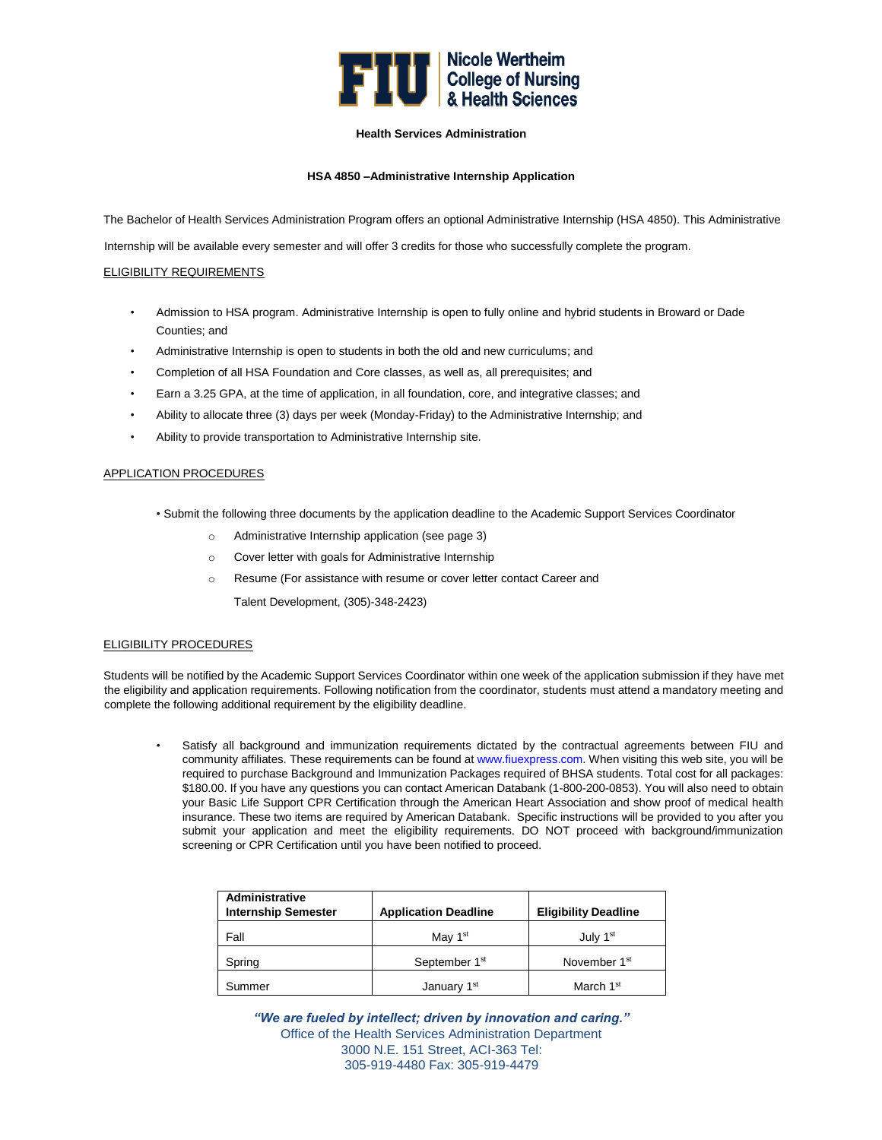

## **Health Services Administration**

## **HSA 4850 –Administrative Internship Application**

The Bachelor of Health Services Administration Program offers an optional Administrative Internship (HSA 4850). This Administrative

Internship will be available every semester and will offer 3 credits for those who successfully complete the program.

## ELIGIBILITY REQUIREMENTS

- Admission to HSA program. Administrative Internship is open to fully online and hybrid students in Broward or Dade Counties; and
- Administrative Internship is open to students in both the old and new curriculums; and
- Completion of all HSA Foundation and Core classes, as well as, all prerequisites; and
- Earn a 3.25 GPA, at the time of application, in all foundation, core, and integrative classes; and
- Ability to allocate three (3) days per week (Monday-Friday) to the Administrative Internship; and
- Ability to provide transportation to Administrative Internship site.

## APPLICATION PROCEDURES

- Submit the following three documents by the application deadline to the Academic Support Services Coordinator
	- o Administrative Internship application (see page 3)
	- o Cover letter with goals for Administrative Internship
	- o Resume (For assistance with resume or cover letter contact Career and
		- Talent Development, (305)-348-2423)

## ELIGIBILITY PROCEDURES

Students will be notified by the Academic Support Services Coordinator within one week of the application submission if they have met the eligibility and application requirements. Following notification from the coordinator, students must attend a mandatory meeting and complete the following additional requirement by the eligibility deadline.

Satisfy all background and immunization requirements dictated by the contractual agreements between FIU and community affiliates. These requirements can be found at www.fiuexpress.com. When visiting this web site, you will be required to purchase Background and Immunization Packages required of BHSA students. Total cost for all packages: \$180.00. If you have any questions you can contact American Databank (1-800-200-0853). You will also need to obtain your Basic Life Support CPR Certification through the American Heart Association and show proof of medical health insurance. These two items are required by American Databank. Specific instructions will be provided to you after you submit your application and meet the eligibility requirements. DO NOT proceed with background/immunization screening or CPR Certification until you have been notified to proceed.

| Administrative<br><b>Internship Semester</b> | <b>Application Deadline</b> | <b>Eligibility Deadline</b> |
|----------------------------------------------|-----------------------------|-----------------------------|
| Fall                                         | May $1st$                   | July 1 <sup>st</sup>        |
| Spring                                       | September 1st               | November 1 <sup>st</sup>    |
| Summer                                       | January 1st                 | March 1 <sup>st</sup>       |

*"We are fueled by intellect; driven by innovation and caring."*  Office of the Health Services Administration Department 3000 N.E. 151 Street, ACI-363 Tel: 305-919-4480 Fax: 305-919-4479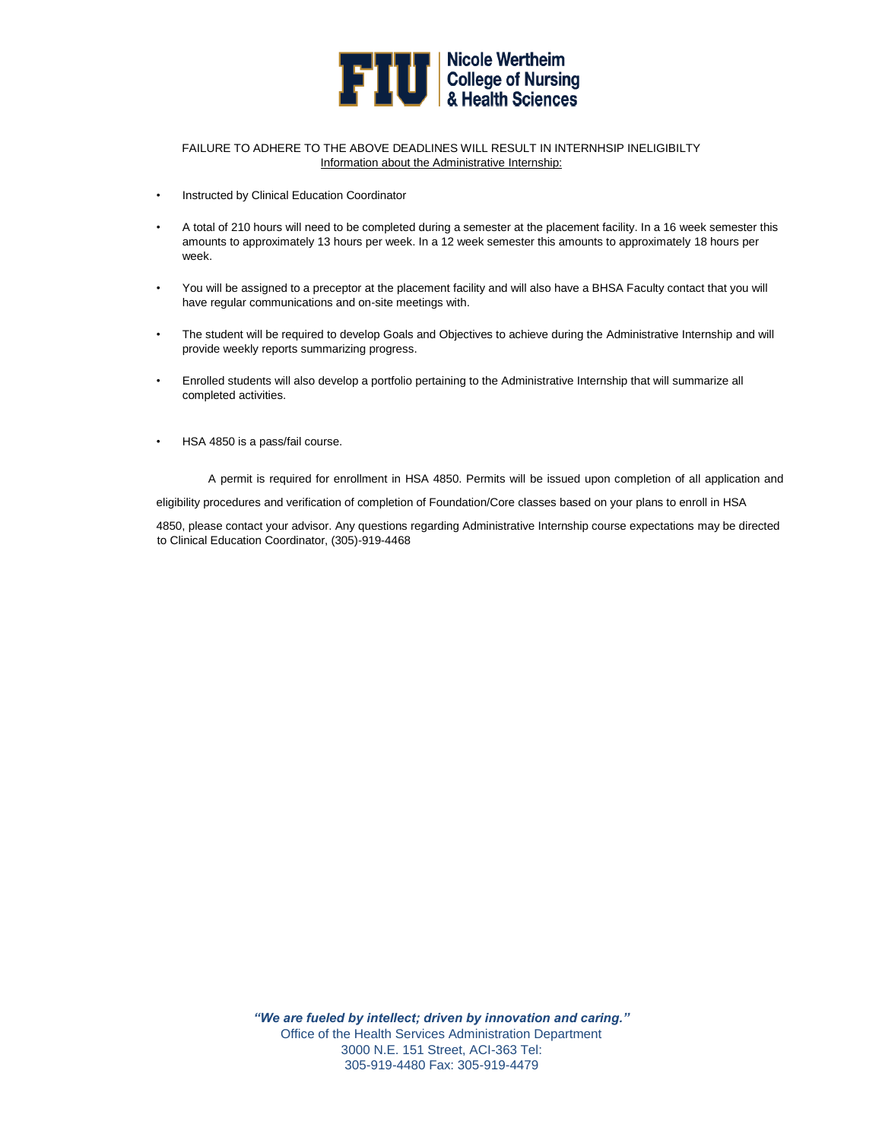

### FAILURE TO ADHERE TO THE ABOVE DEADLINES WILL RESULT IN INTERNHSIP INELIGIBILTY Information about the Administrative Internship:

- Instructed by Clinical Education Coordinator
- A total of 210 hours will need to be completed during a semester at the placement facility. In a 16 week semester this amounts to approximately 13 hours per week. In a 12 week semester this amounts to approximately 18 hours per week.
- You will be assigned to a preceptor at the placement facility and will also have a BHSA Faculty contact that you will have regular communications and on-site meetings with.
- The student will be required to develop Goals and Objectives to achieve during the Administrative Internship and will provide weekly reports summarizing progress.
- Enrolled students will also develop a portfolio pertaining to the Administrative Internship that will summarize all completed activities.
- HSA 4850 is a pass/fail course.

A permit is required for enrollment in HSA 4850. Permits will be issued upon completion of all application and

eligibility procedures and verification of completion of Foundation/Core classes based on your plans to enroll in HSA

4850, please contact your advisor. Any questions regarding Administrative Internship course expectations may be directed to Clinical Education Coordinator, (305)-919-4468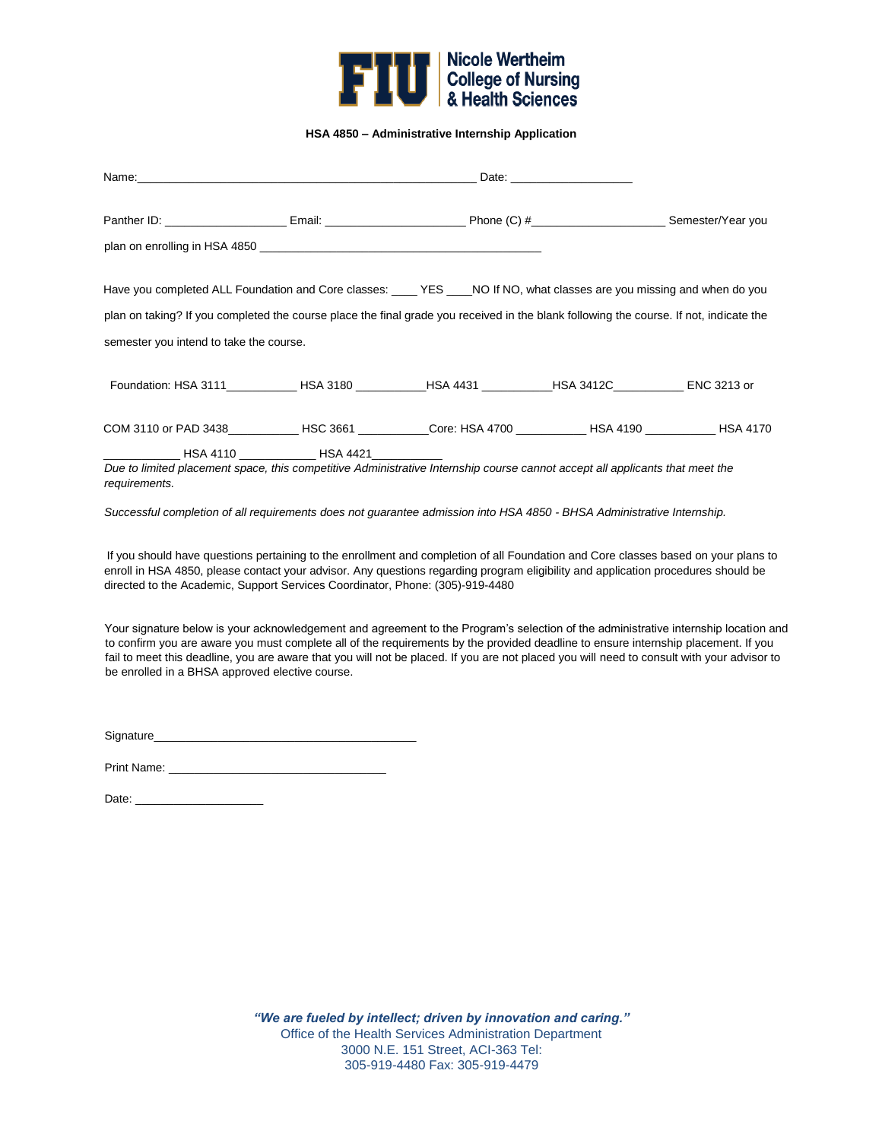

**HSA 4850 – Administrative Internship Application** 

| Name: with a state of the contract of the contract of the contract of the contract of the contract of the contract of the contract of the contract of the contract of the contract of the contract of the contract of the cont                                                                                                                           |                          |                                                                                                       | Date: <u>Date:</u> |  |
|----------------------------------------------------------------------------------------------------------------------------------------------------------------------------------------------------------------------------------------------------------------------------------------------------------------------------------------------------------|--------------------------|-------------------------------------------------------------------------------------------------------|--------------------|--|
| Panther ID: _________________________Email: _________________________Phone (C) #_______________________Semester/Year you                                                                                                                                                                                                                                 |                          |                                                                                                       |                    |  |
|                                                                                                                                                                                                                                                                                                                                                          |                          |                                                                                                       |                    |  |
| Have you completed ALL Foundation and Core classes: ____ YES ___NO If NO, what classes are you missing and when do you                                                                                                                                                                                                                                   |                          |                                                                                                       |                    |  |
| plan on taking? If you completed the course place the final grade you received in the blank following the course. If not, indicate the                                                                                                                                                                                                                   |                          |                                                                                                       |                    |  |
| semester you intend to take the course.                                                                                                                                                                                                                                                                                                                  |                          |                                                                                                       |                    |  |
|                                                                                                                                                                                                                                                                                                                                                          |                          | Foundation: HSA 3111____________HSA 3180 __________HSA 4431 __________HSA 3412C___________ENC 3213 or |                    |  |
| COM 3110 or PAD 3438___________HSC 3661 __________Core: HSA 4700 __________HSA 4190 __________HSA 4170                                                                                                                                                                                                                                                   |                          |                                                                                                       |                    |  |
|                                                                                                                                                                                                                                                                                                                                                          | <b>HSA 4110</b> HSA 4421 |                                                                                                       |                    |  |
| Due to limited placement space, this competitive Administrative Internship course cannot accept all applicants that meet the<br>requirements.                                                                                                                                                                                                            |                          |                                                                                                       |                    |  |
| Successful completion of all requirements does not guarantee admission into HSA 4850 - BHSA Administrative Internship.                                                                                                                                                                                                                                   |                          |                                                                                                       |                    |  |
| If you should have questions pertaining to the enrollment and completion of all Foundation and Core classes based on your plans to<br>enroll in HSA 4850, please contact your advisor. Any questions regarding program eligibility and application procedures should be<br>directed to the Academic, Support Services Coordinator, Phone: (305)-919-4480 |                          |                                                                                                       |                    |  |

Your signature below is your acknowledgement and agreement to the Program's selection of the administrative internship location and to confirm you are aware you must complete all of the requirements by the provided deadline to ensure internship placement. If you fail to meet this deadline, you are aware that you will not be placed. If you are not placed you will need to consult with your advisor to be enrolled in a BHSA approved elective course.

Signature\_\_\_\_\_\_\_\_\_\_\_\_\_\_\_\_\_\_\_\_\_\_\_\_\_\_\_\_\_\_\_\_\_\_\_\_\_\_\_\_\_

Print Name: \_\_\_\_\_\_\_\_\_\_\_\_\_\_\_\_\_\_\_\_\_\_\_\_\_\_\_\_\_\_\_\_\_\_

Date: \_\_\_\_\_\_\_\_\_\_\_\_\_\_\_\_\_\_\_\_

*"We are fueled by intellect; driven by innovation and caring."*  Office of the Health Services Administration Department 3000 N.E. 151 Street, ACI-363 Tel: 305-919-4480 Fax: 305-919-4479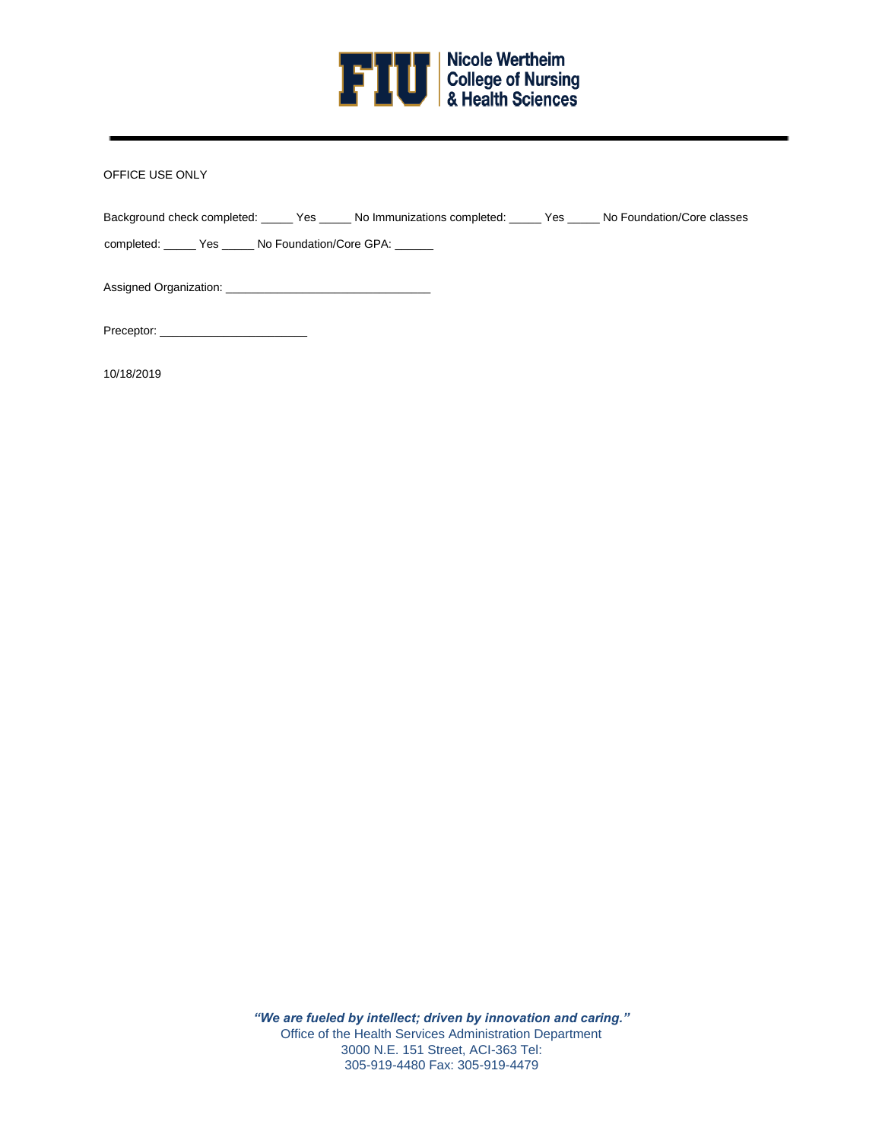

# OFFICE USE ONLY

| Background check completed: ______ Yes ______ No Immunizations completed: ______ Yes ______ No Foundation/Core classes |  |
|------------------------------------------------------------------------------------------------------------------------|--|
| completed: _______ Yes ______ No Foundation/Core GPA: _______                                                          |  |
| Assigned Organization: Assigned Organization:                                                                          |  |

Preceptor:

10/18/2019